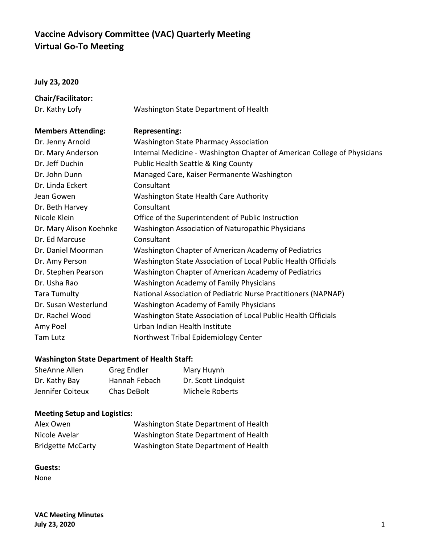# **Vaccine Advisory Committee (VAC) Quarterly Meeting Virtual Go-To Meeting**

#### **July 23, 2020**

| Chair/Facilitator:        |                                                                          |
|---------------------------|--------------------------------------------------------------------------|
| Dr. Kathy Lofy            | Washington State Department of Health                                    |
| <b>Members Attending:</b> | <b>Representing:</b>                                                     |
| Dr. Jenny Arnold          | <b>Washington State Pharmacy Association</b>                             |
| Dr. Mary Anderson         | Internal Medicine - Washington Chapter of American College of Physicians |
| Dr. Jeff Duchin           | Public Health Seattle & King County                                      |
| Dr. John Dunn             | Managed Care, Kaiser Permanente Washington                               |
| Dr. Linda Eckert          | Consultant                                                               |
| Jean Gowen                | Washington State Health Care Authority                                   |
| Dr. Beth Harvey           | Consultant                                                               |
| Nicole Klein              | Office of the Superintendent of Public Instruction                       |
| Dr. Mary Alison Koehnke   | Washington Association of Naturopathic Physicians                        |
| Dr. Ed Marcuse            | Consultant                                                               |
| Dr. Daniel Moorman        | Washington Chapter of American Academy of Pediatrics                     |
| Dr. Amy Person            | Washington State Association of Local Public Health Officials            |
| Dr. Stephen Pearson       | Washington Chapter of American Academy of Pediatrics                     |
| Dr. Usha Rao              | <b>Washington Academy of Family Physicians</b>                           |
| <b>Tara Tumulty</b>       | National Association of Pediatric Nurse Practitioners (NAPNAP)           |
| Dr. Susan Westerlund      | <b>Washington Academy of Family Physicians</b>                           |
| Dr. Rachel Wood           | Washington State Association of Local Public Health Officials            |
| Amy Poel                  | Urban Indian Health Institute                                            |
| Tam Lutz                  | Northwest Tribal Epidemiology Center                                     |
|                           |                                                                          |

## **Washington State Department of Health Staff:**

| SheAnne Allen    | Greg Endler   | Mary Huynh          |
|------------------|---------------|---------------------|
| Dr. Kathy Bay    | Hannah Febach | Dr. Scott Lindquist |
| Jennifer Coiteux | Chas DeBolt   | Michele Roberts     |

# **Meeting Setup and Logistics:**

| Alex Owen                | Washington State Department of Health |
|--------------------------|---------------------------------------|
| Nicole Avelar            | Washington State Department of Health |
| <b>Bridgette McCarty</b> | Washington State Department of Health |

### **Guests:**

None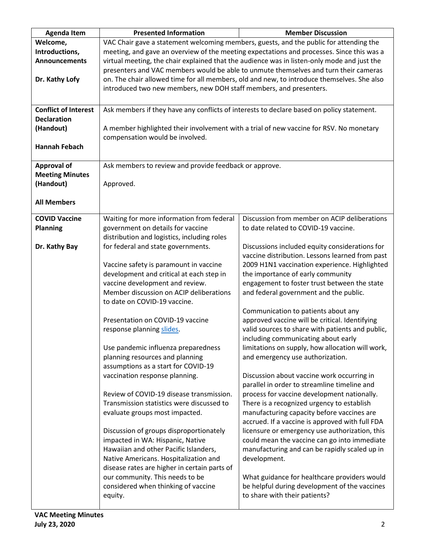| <b>Agenda Item</b>          | <b>Presented Information</b>                                                                | <b>Member Discussion</b>                                                                   |
|-----------------------------|---------------------------------------------------------------------------------------------|--------------------------------------------------------------------------------------------|
| Welcome,                    |                                                                                             | VAC Chair gave a statement welcoming members, guests, and the public for attending the     |
| Introductions,              | meeting, and gave an overview of the meeting expectations and processes. Since this was a   |                                                                                            |
| <b>Announcements</b>        | virtual meeting, the chair explained that the audience was in listen-only mode and just the |                                                                                            |
|                             |                                                                                             | presenters and VAC members would be able to unmute themselves and turn their cameras       |
| Dr. Kathy Lofy              |                                                                                             | on. The chair allowed time for all members, old and new, to introduce themselves. She also |
|                             | introduced two new members, new DOH staff members, and presenters.                          |                                                                                            |
|                             |                                                                                             |                                                                                            |
| <b>Conflict of Interest</b> |                                                                                             | Ask members if they have any conflicts of interests to declare based on policy statement.  |
| <b>Declaration</b>          |                                                                                             |                                                                                            |
| (Handout)                   |                                                                                             | A member highlighted their involvement with a trial of new vaccine for RSV. No monetary    |
|                             | compensation would be involved.                                                             |                                                                                            |
| <b>Hannah Febach</b>        |                                                                                             |                                                                                            |
|                             |                                                                                             |                                                                                            |
| <b>Approval of</b>          | Ask members to review and provide feedback or approve.                                      |                                                                                            |
| <b>Meeting Minutes</b>      |                                                                                             |                                                                                            |
| (Handout)                   | Approved.                                                                                   |                                                                                            |
|                             |                                                                                             |                                                                                            |
| <b>All Members</b>          |                                                                                             |                                                                                            |
|                             |                                                                                             |                                                                                            |
| <b>COVID Vaccine</b>        | Waiting for more information from federal                                                   | Discussion from member on ACIP deliberations                                               |
| <b>Planning</b>             | government on details for vaccine                                                           | to date related to COVID-19 vaccine.                                                       |
|                             | distribution and logistics, including roles                                                 |                                                                                            |
| Dr. Kathy Bay               | for federal and state governments.                                                          | Discussions included equity considerations for                                             |
|                             |                                                                                             | vaccine distribution. Lessons learned from past                                            |
|                             | Vaccine safety is paramount in vaccine                                                      | 2009 H1N1 vaccination experience. Highlighted                                              |
|                             | development and critical at each step in                                                    | the importance of early community                                                          |
|                             | vaccine development and review.                                                             | engagement to foster trust between the state                                               |
|                             | Member discussion on ACIP deliberations                                                     | and federal government and the public.                                                     |
|                             | to date on COVID-19 vaccine.                                                                |                                                                                            |
|                             |                                                                                             | Communication to patients about any                                                        |
|                             | Presentation on COVID-19 vaccine                                                            | approved vaccine will be critical. Identifying                                             |
|                             | response planning slides.                                                                   | valid sources to share with patients and public,                                           |
|                             |                                                                                             | including communicating about early                                                        |
|                             | Use pandemic influenza preparedness                                                         | limitations on supply, how allocation will work,                                           |
|                             | planning resources and planning                                                             | and emergency use authorization.                                                           |
|                             | assumptions as a start for COVID-19                                                         |                                                                                            |
|                             | vaccination response planning.                                                              | Discussion about vaccine work occurring in                                                 |
|                             |                                                                                             | parallel in order to streamline timeline and                                               |
|                             | Review of COVID-19 disease transmission.                                                    | process for vaccine development nationally.                                                |
|                             | Transmission statistics were discussed to                                                   | There is a recognized urgency to establish                                                 |
|                             | evaluate groups most impacted.                                                              | manufacturing capacity before vaccines are                                                 |
|                             |                                                                                             | accrued. If a vaccine is approved with full FDA                                            |
|                             | Discussion of groups disproportionately                                                     | licensure or emergency use authorization, this                                             |
|                             | impacted in WA: Hispanic, Native                                                            | could mean the vaccine can go into immediate                                               |
|                             | Hawaiian and other Pacific Islanders,                                                       | manufacturing and can be rapidly scaled up in                                              |
|                             | Native Americans. Hospitalization and                                                       | development.                                                                               |
|                             | disease rates are higher in certain parts of                                                |                                                                                            |
|                             | our community. This needs to be                                                             | What guidance for healthcare providers would                                               |
|                             | considered when thinking of vaccine                                                         | be helpful during development of the vaccines                                              |
|                             | equity.                                                                                     | to share with their patients?                                                              |
|                             |                                                                                             |                                                                                            |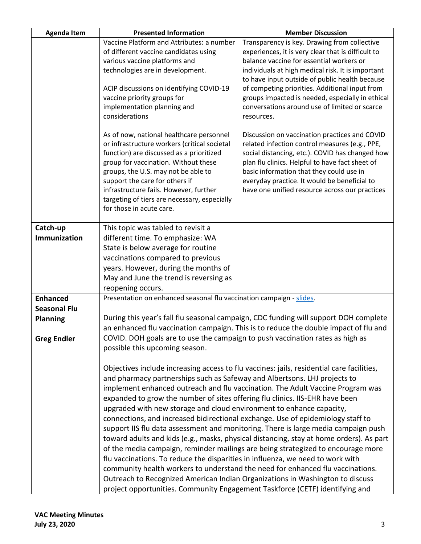| <b>Agenda Item</b>  | <b>Presented Information</b>                                                    | <b>Member Discussion</b>                                                                  |
|---------------------|---------------------------------------------------------------------------------|-------------------------------------------------------------------------------------------|
|                     | Vaccine Platform and Attributes: a number                                       | Transparency is key. Drawing from collective                                              |
|                     | of different vaccine candidates using                                           | experiences, it is very clear that is difficult to                                        |
|                     | various vaccine platforms and                                                   | balance vaccine for essential workers or                                                  |
|                     | technologies are in development.                                                | individuals at high medical risk. It is important                                         |
|                     |                                                                                 | to have input outside of public health because                                            |
|                     | ACIP discussions on identifying COVID-19                                        | of competing priorities. Additional input from                                            |
|                     | vaccine priority groups for                                                     | groups impacted is needed, especially in ethical                                          |
|                     | implementation planning and                                                     | conversations around use of limited or scarce                                             |
|                     | considerations                                                                  | resources.                                                                                |
|                     | As of now, national healthcare personnel                                        | Discussion on vaccination practices and COVID                                             |
|                     | or infrastructure workers (critical societal                                    | related infection control measures (e.g., PPE,                                            |
|                     | function) are discussed as a prioritized                                        | social distancing, etc.). COVID has changed how                                           |
|                     | group for vaccination. Without these                                            | plan flu clinics. Helpful to have fact sheet of                                           |
|                     | groups, the U.S. may not be able to                                             | basic information that they could use in                                                  |
|                     | support the care for others if                                                  | everyday practice. It would be beneficial to                                              |
|                     | infrastructure fails. However, further                                          | have one unified resource across our practices                                            |
|                     | targeting of tiers are necessary, especially                                    |                                                                                           |
|                     | for those in acute care.                                                        |                                                                                           |
|                     |                                                                                 |                                                                                           |
| Catch-up            | This topic was tabled to revisit a                                              |                                                                                           |
| Immunization        | different time. To emphasize: WA                                                |                                                                                           |
|                     | State is below average for routine                                              |                                                                                           |
|                     | vaccinations compared to previous                                               |                                                                                           |
|                     | years. However, during the months of                                            |                                                                                           |
|                     | May and June the trend is reversing as                                          |                                                                                           |
|                     | reopening occurs.                                                               |                                                                                           |
| <b>Enhanced</b>     | Presentation on enhanced seasonal flu vaccination campaign - slides.            |                                                                                           |
| <b>Seasonal Flu</b> |                                                                                 |                                                                                           |
| <b>Planning</b>     |                                                                                 | During this year's fall flu seasonal campaign, CDC funding will support DOH complete      |
|                     |                                                                                 | an enhanced flu vaccination campaign. This is to reduce the double impact of flu and      |
| <b>Greg Endler</b>  | COVID. DOH goals are to use the campaign to push vaccination rates as high as   |                                                                                           |
|                     | possible this upcoming season.                                                  |                                                                                           |
|                     |                                                                                 |                                                                                           |
|                     |                                                                                 | Objectives include increasing access to flu vaccines: jails, residential care facilities, |
|                     | and pharmacy partnerships such as Safeway and Albertsons. LHJ projects to       |                                                                                           |
|                     |                                                                                 | implement enhanced outreach and flu vaccination. The Adult Vaccine Program was            |
|                     | expanded to grow the number of sites offering flu clinics. IIS-EHR have been    |                                                                                           |
|                     | upgraded with new storage and cloud environment to enhance capacity,            |                                                                                           |
|                     | connections, and increased bidirectional exchange. Use of epidemiology staff to |                                                                                           |
|                     |                                                                                 | support IIS flu data assessment and monitoring. There is large media campaign push        |
|                     |                                                                                 |                                                                                           |
|                     |                                                                                 | toward adults and kids (e.g., masks, physical distancing, stay at home orders). As part   |
|                     |                                                                                 | of the media campaign, reminder mailings are being strategized to encourage more          |
|                     | flu vaccinations. To reduce the disparities in influenza, we need to work with  |                                                                                           |
|                     |                                                                                 | community health workers to understand the need for enhanced flu vaccinations.            |
|                     |                                                                                 | Outreach to Recognized American Indian Organizations in Washington to discuss             |
|                     | project opportunities. Community Engagement Taskforce (CETF) identifying and    |                                                                                           |